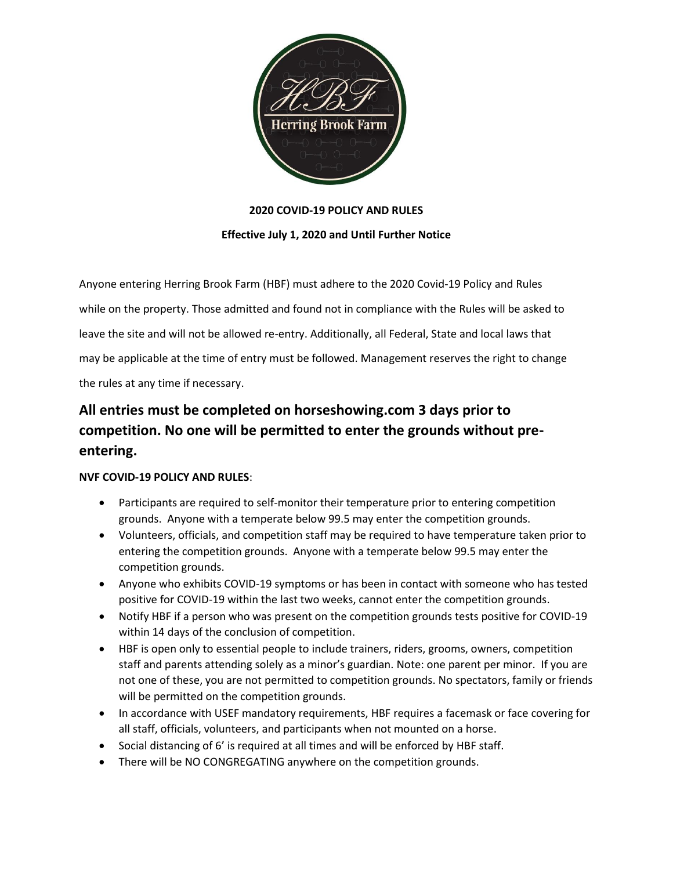

## **2020 COVID-19 POLICY AND RULES**

# **Effective July 1, 2020 and Until Further Notice**

Anyone entering Herring Brook Farm (HBF) must adhere to the 2020 Covid-19 Policy and Rules while on the property. Those admitted and found not in compliance with the Rules will be asked to leave the site and will not be allowed re-entry. Additionally, all Federal, State and local laws that may be applicable at the time of entry must be followed. Management reserves the right to change the rules at any time if necessary.

# **All entries must be completed on horseshowing.com 3 days prior to competition. No one will be permitted to enter the grounds without preentering.**

#### **NVF COVID-19 POLICY AND RULES**:

- Participants are required to self-monitor their temperature prior to entering competition grounds. Anyone with a temperate below 99.5 may enter the competition grounds.
- Volunteers, officials, and competition staff may be required to have temperature taken prior to entering the competition grounds. Anyone with a temperate below 99.5 may enter the competition grounds.
- Anyone who exhibits COVID-19 symptoms or has been in contact with someone who has tested positive for COVID-19 within the last two weeks, cannot enter the competition grounds.
- Notify HBF if a person who was present on the competition grounds tests positive for COVID-19 within 14 days of the conclusion of competition.
- HBF is open only to essential people to include trainers, riders, grooms, owners, competition staff and parents attending solely as a minor's guardian. Note: one parent per minor. If you are not one of these, you are not permitted to competition grounds. No spectators, family or friends will be permitted on the competition grounds.
- In accordance with USEF mandatory requirements, HBF requires a facemask or face covering for all staff, officials, volunteers, and participants when not mounted on a horse.
- Social distancing of 6' is required at all times and will be enforced by HBF staff.
- There will be NO CONGREGATING anywhere on the competition grounds.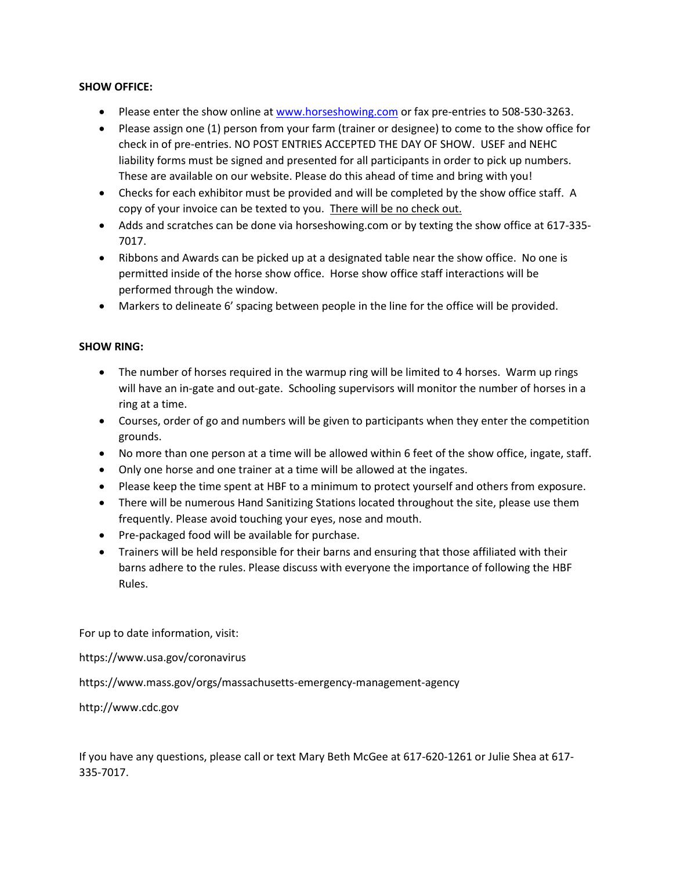## **SHOW OFFICE:**

- Please enter the show online at [www.horseshowing.com](http://www.horseshowing.com/) or fax pre-entries to 508-530-3263.
- Please assign one (1) person from your farm (trainer or designee) to come to the show office for check in of pre-entries. NO POST ENTRIES ACCEPTED THE DAY OF SHOW. USEF and NEHC liability forms must be signed and presented for all participants in order to pick up numbers. These are available on our website. Please do this ahead of time and bring with you!
- Checks for each exhibitor must be provided and will be completed by the show office staff. A copy of your invoice can be texted to you. There will be no check out.
- Adds and scratches can be done via horseshowing.com or by texting the show office at 617-335- 7017.
- Ribbons and Awards can be picked up at a designated table near the show office. No one is permitted inside of the horse show office. Horse show office staff interactions will be performed through the window.
- Markers to delineate 6' spacing between people in the line for the office will be provided.

#### **SHOW RING:**

- The number of horses required in the warmup ring will be limited to 4 horses. Warm up rings will have an in-gate and out-gate. Schooling supervisors will monitor the number of horses in a ring at a time.
- Courses, order of go and numbers will be given to participants when they enter the competition grounds.
- No more than one person at a time will be allowed within 6 feet of the show office, ingate, staff.
- Only one horse and one trainer at a time will be allowed at the ingates.
- Please keep the time spent at HBF to a minimum to protect yourself and others from exposure.
- There will be numerous Hand Sanitizing Stations located throughout the site, please use them frequently. Please avoid touching your eyes, nose and mouth.
- Pre-packaged food will be available for purchase.
- Trainers will be held responsible for their barns and ensuring that those affiliated with their barns adhere to the rules. Please discuss with everyone the importance of following the HBF Rules.

For up to date information, visit:

https://www.usa.gov/coronavirus

https://www.mass.gov/orgs/massachusetts-emergency-management-agency

http://www.cdc.gov

If you have any questions, please call or text Mary Beth McGee at 617-620-1261 or Julie Shea at 617- 335-7017.